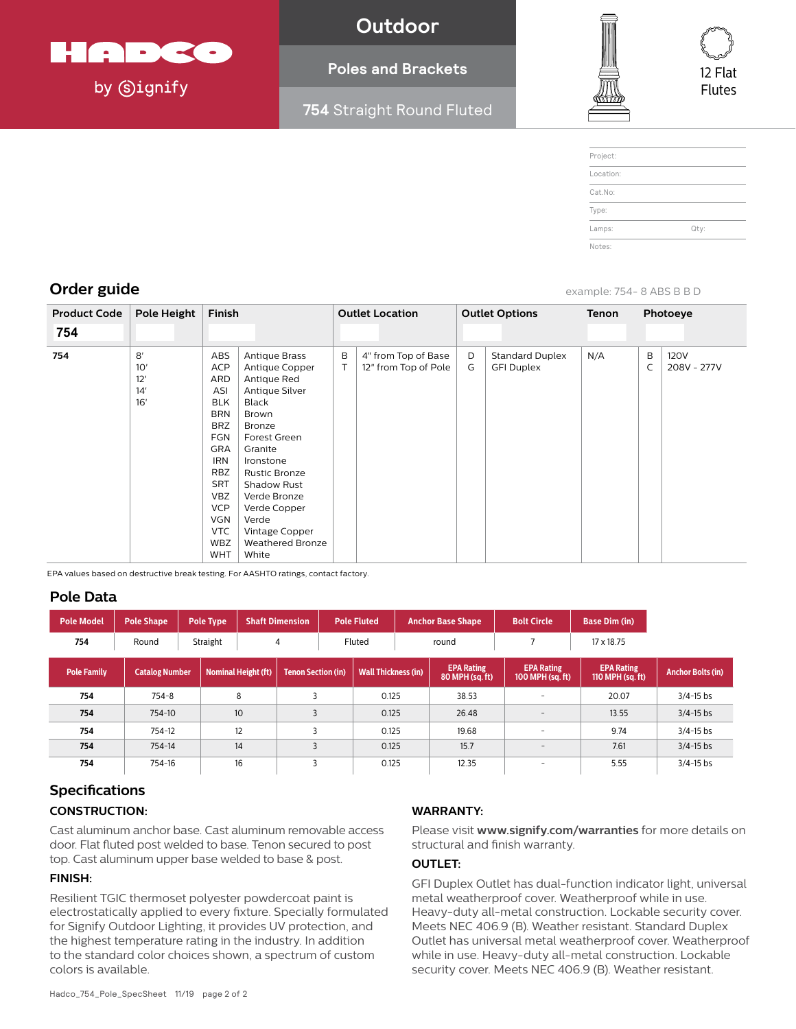

by **Signify** 

**Outdoor**

## **Poles and Brackets**

**754** Straight Round Fluted



| Project:  |      |
|-----------|------|
| Location: |      |
| Cat.No:   |      |
| Type:     |      |
| Lamps:    | Qty: |
| Notes:    |      |

**Order guide** example: 754- 8 ABS B B D

| <b>Product Code</b> | Pole Height                    | Finish                                                                                                                                                                                                                       |                                                                                                                                                                                                                                                                                   | <b>Outlet Location</b> |                                             | <b>Outlet Options</b> |                                             | Tenon | Photoeye |                            |
|---------------------|--------------------------------|------------------------------------------------------------------------------------------------------------------------------------------------------------------------------------------------------------------------------|-----------------------------------------------------------------------------------------------------------------------------------------------------------------------------------------------------------------------------------------------------------------------------------|------------------------|---------------------------------------------|-----------------------|---------------------------------------------|-------|----------|----------------------------|
| 754                 |                                |                                                                                                                                                                                                                              |                                                                                                                                                                                                                                                                                   |                        |                                             |                       |                                             |       |          |                            |
| 754                 | 8'<br>10'<br>12'<br>14'<br>16' | ABS<br><b>ACP</b><br>ARD<br>ASI<br><b>BLK</b><br><b>BRN</b><br><b>BRZ</b><br><b>FGN</b><br><b>GRA</b><br><b>IRN</b><br><b>RBZ</b><br><b>SRT</b><br><b>VBZ</b><br><b>VCP</b><br>VGN<br><b>VTC</b><br><b>WBZ</b><br><b>WHT</b> | <b>Antique Brass</b><br>Antique Copper<br>Antique Red<br>Antique Silver<br><b>Black</b><br>Brown<br>Bronze<br>Forest Green<br>Granite<br>Ironstone<br><b>Rustic Bronze</b><br>Shadow Rust<br>Verde Bronze<br>Verde Copper<br>Verde<br>Vintage Copper<br>Weathered Bronze<br>White | B                      | 4" from Top of Base<br>12" from Top of Pole | D<br>G                | <b>Standard Duplex</b><br><b>GFI Duplex</b> | N/A   | B<br>C   | <b>120V</b><br>208V - 277V |

EPA values based on destructive break testing. For AASHTO ratings, contact factory.

### **Pole Data**

| <b>Pole Model</b>  | <b>Pole Shape</b> |                                                     | <b>Pole Type</b> |              | <b>Shaft Dimension</b>    | <b>Pole Fluted</b> |                            | <b>Anchor Base Shape</b> |                                      | <b>Bolt Circle</b>                    |      | <b>Base Dim (in)</b>                  |                          |
|--------------------|-------------------|-----------------------------------------------------|------------------|--------------|---------------------------|--------------------|----------------------------|--------------------------|--------------------------------------|---------------------------------------|------|---------------------------------------|--------------------------|
| 754                | Round             |                                                     | Straight         |              | $\overline{4}$            |                    | Fluted                     |                          | round                                |                                       |      | 17 x 18.75                            |                          |
| <b>Pole Family</b> |                   | <b>Nominal Height (ft)</b><br><b>Catalog Number</b> |                  |              | <b>Tenon Section (in)</b> |                    | <b>Wall Thickness (in)</b> |                          | <b>EPA Rating</b><br>80 MPH (sq. ft) | <b>EPA Rating</b><br>100 MPH (sq. ft) |      | <b>EPA Rating</b><br>110 MPH (sq. ft) | <b>Anchor Bolts (in)</b> |
| 754                | $754 - 8$         |                                                     | 8                |              |                           |                    | 0.125                      |                          | 38.53                                | ۰                                     |      | 20.07                                 | $3/4 - 15$ bs            |
| 754                | 754-10            |                                                     | 10               |              |                           |                    | 0.125                      |                          | 26.48                                | $\qquad \qquad =$                     |      | 13.55                                 | $3/4 - 15$ bs            |
| 754                | 754-12            | 12                                                  |                  |              |                           |                    | 0.125                      |                          | 19.68                                | -                                     |      | 9.74                                  | $3/4 - 15$ bs            |
| 754                | 14<br>754-14      |                                                     |                  | 3            | 0.125                     |                    |                            | 15.7                     | $\overline{\phantom{0}}$             |                                       | 7.61 | $3/4 - 15$ bs                         |                          |
| 754                | 16<br>754-16      |                                                     |                  | $\mathbf{z}$ |                           | 0.125              |                            | 12.35                    | -                                    |                                       | 5.55 | $3/4 - 15$ bs                         |                          |

# **Specifications CONSTRUCTION:**

Cast aluminum anchor base. Cast aluminum removable access door. Flat fluted post welded to base. Tenon secured to post top. Cast aluminum upper base welded to base & post.

### **FINISH:**

Resilient TGIC thermoset polyester powdercoat paint is electrostatically applied to every fixture. Specially formulated for Signify Outdoor Lighting, it provides UV protection, and the highest temperature rating in the industry. In addition to the standard color choices shown, a spectrum of custom colors is available.

### **WARRANTY:**

Please visit **www.signify.com/warranties** for more details on structural and finish warranty.

#### **OUTLET:**

GFI Duplex Outlet has dual-function indicator light, universal metal weatherproof cover. Weatherproof while in use. Heavy-duty all-metal construction. Lockable security cover. Meets NEC 406.9 (B). Weather resistant. Standard Duplex Outlet has universal metal weatherproof cover. Weatherproof while in use. Heavy-duty all-metal construction. Lockable security cover. Meets NEC 406.9 (B). Weather resistant.